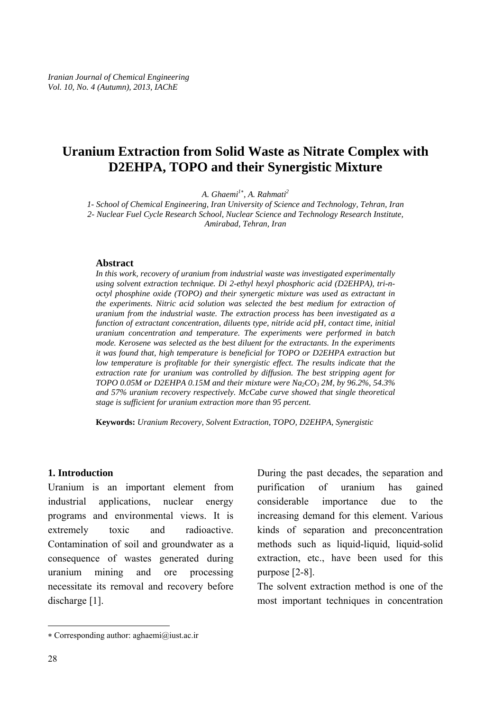# **Uranium Extraction from Solid Waste as Nitrate Complex with D2EHPA, TOPO and their Synergistic Mixture**

*A. Ghaemi1*<sup>∗</sup> *, A. Rahmati2*

*1- School of Chemical Engineering, Iran University of Science and Technology, Tehran, Iran 2- Nuclear Fuel Cycle Research School, Nuclear Science and Technology Research Institute, Amirabad, Tehran, Iran* 

#### **Abstract**

*In this work, recovery of uranium from industrial waste was investigated experimentally using solvent extraction technique. Di 2-ethyl hexyl phosphoric acid (D2EHPA), tri-noctyl phosphine oxide (TOPO) and their synergetic mixture was used as extractant in the experiments. Nitric acid solution was selected the best medium for extraction of uranium from the industrial waste. The extraction process has been investigated as a function of extractant concentration, diluents type, nitride acid pH, contact time, initial uranium concentration and temperature. The experiments were performed in batch mode. Kerosene was selected as the best diluent for the extractants. In the experiments it was found that, high temperature is beneficial for TOPO or D2EHPA extraction but low temperature is profitable for their synergistic effect. The results indicate that the extraction rate for uranium was controlled by diffusion. The best stripping agent for TOPO 0.05M or D2EHPA 0.15M and their mixture were Na<sub>2</sub>CO<sub>3</sub> 2M, by 96.2%, 54.3% and 57% uranium recovery respectively. McCabe curve showed that single theoretical stage is sufficient for uranium extraction more than 95 percent.* 

**Keywords:** *Uranium Recovery, Solvent Extraction, TOPO, D2EHPA, Synergistic* 

#### **1. Introduction**

Uranium is an important element from industrial applications, nuclear energy programs and environmental views. It is extremely toxic and radioactive. Contamination of soil and groundwater as a consequence of wastes generated during uranium mining and ore processing necessitate its removal and recovery before discharge [1].

During the past decades, the separation and purification of uranium has gained considerable importance due to the increasing demand for this element. Various kinds of separation and preconcentration methods such as liquid-liquid, liquid-solid extraction, etc., have been used for this purpose [2-8].

The solvent extraction method is one of the most important techniques in concentration

 $\overline{\phantom{a}}$ 

<sup>∗</sup> Corresponding author: aghaemi@iust.ac.ir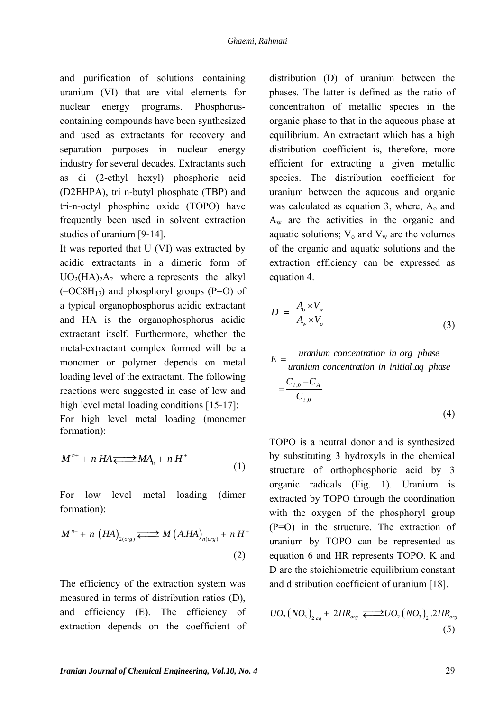and purification of solutions containing uranium (VI) that are vital elements for nuclear energy programs. Phosphoruscontaining compounds have been synthesized and used as extractants for recovery and separation purposes in nuclear energy industry for several decades. Extractants such as di (2-ethyl hexyl) phosphoric acid (D2EHPA), tri n-butyl phosphate (TBP) and tri-n-octyl phosphine oxide (TOPO) have frequently been used in solvent extraction studies of uranium [9-14].

It was reported that U (VI) was extracted by acidic extractants in a dimeric form of  $UO<sub>2</sub>(HA)<sub>2</sub>A<sub>2</sub>$  where a represents the alkyl  $(-OC8H_{17})$  and phosphoryl groups  $(P=O)$  of a typical organophosphorus acidic extractant and HA is the organophosphorus acidic extractant itself. Furthermore, whether the metal-extractant complex formed will be a monomer or polymer depends on metal loading level of the extractant. The following reactions were suggested in case of low and high level metal loading conditions [15-17]:

For high level metal loading (monomer formation):

$$
M^{n+} + n HA \overrightarrow{A} M A_n + n H^+ \tag{1}
$$

For low level metal loading (dimer formation):

$$
M^{n+} + n \left( H A \right)_{2(\text{org})} \Longleftrightarrow M \left( A. H A \right)_{n(\text{org})} + n H^+ \tag{2}
$$

The efficiency of the extraction system was measured in terms of distribution ratios (D), and efficiency (E). The efficiency of extraction depends on the coefficient of distribution (D) of uranium between the phases. The latter is defined as the ratio of concentration of metallic species in the organic phase to that in the aqueous phase at equilibrium. An extractant which has a high distribution coefficient is, therefore, more efficient for extracting a given metallic species. The distribution coefficient for uranium between the aqueous and organic was calculated as equation 3, where,  $A_0$  and  $A_w$  are the activities in the organic and aquatic solutions;  $V_0$  and  $V_w$  are the volumes of the organic and aquatic solutions and the extraction efficiency can be expressed as equation 4.

$$
D = \frac{A_o \times V_w}{A_w \times V_o}
$$
 (3)

$$
E = \frac{u^2}{u^2 + u^2} \cdot E = \frac{u^2}{u^2 + u^2} \cdot E = \frac{C_{i,0} - C_A}{C_{i,0}}
$$
\n
$$
= \frac{C_{i,0} - C_A}{C_{i,0}} \tag{4}
$$

TOPO is a neutral donor and is synthesized by substituting 3 hydroxyls in the chemical structure of orthophosphoric acid by 3 organic radicals (Fig. 1). Uranium is extracted by TOPO through the coordination with the oxygen of the phosphoryl group (P=O) in the structure. The extraction of uranium by TOPO can be represented as equation 6 and HR represents TOPO. K and D are the stoichiometric equilibrium constant and distribution coefficient of uranium [18].

$$
UO_{2}(NO_{3})_{2aq} + 2HR_{org} \iff UO_{2}(NO_{3})_{2}.2HR_{org} \tag{5}
$$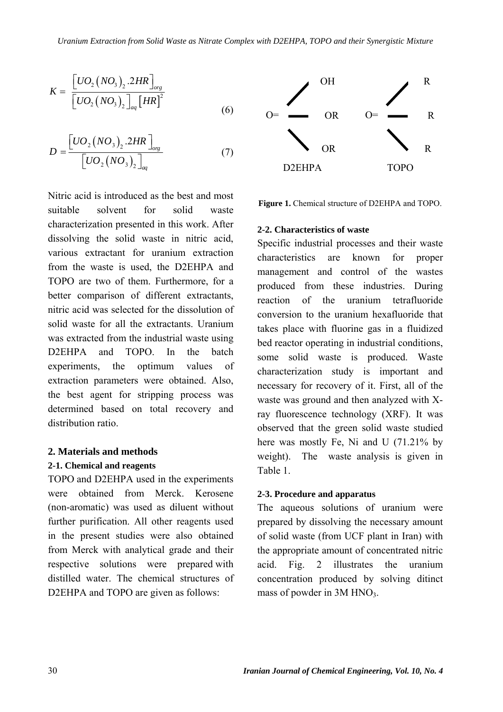$$
K = \frac{[UO_{2}(NO_{3})_{2}.2HR]_{org}}{[UO_{2}(NO_{3})_{2}]_{aq}[HR]^{2}}
$$
(6)

$$
D = \frac{[UO_2(NO_3)]_2.2HR]}{[UO_2(NO_3)]_2}_{aq}
$$
 (7)

Nitric acid is introduced as the best and most suitable solvent for solid waste characterization presented in this work. After dissolving the solid waste in nitric acid, various extractant for uranium extraction from the waste is used, the D2EHPA and TOPO are two of them. Furthermore, for a better comparison of different extractants, nitric acid was selected for the dissolution of solid waste for all the extractants. Uranium was extracted from the industrial waste using D2EHPA and TOPO. In the batch experiments, the optimum values of extraction parameters were obtained. Also, the best agent for stripping process was determined based on total recovery and distribution ratio.

## **2. Materials and methods**

## **2-1. Chemical and reagents**

TOPO and D2EHPA used in the experiments were obtained from Merck. Kerosene (non-aromatic) was used as diluent without further purification. All other reagents used in the present studies were also obtained from Merck with analytical grade and their respective solutions were prepared with distilled water. The chemical structures of D2EHPA and TOPO are given as follows:



**Figure 1.** Chemical structure of D2EHPA and TOPO.

## **2-2. Characteristics of waste**

Specific industrial processes and their waste characteristics are known for proper management and control of the wastes produced from these industries. During reaction of the uranium tetrafluoride conversion to the uranium hexafluoride that takes place with fluorine gas in a fluidized bed reactor operating in industrial conditions, some solid waste is produced. Waste characterization study is important and necessary for recovery of it. First, all of the waste was ground and then analyzed with Xray fluorescence technology (XRF). It was observed that the green solid waste studied here was mostly Fe, Ni and U (71.21% by weight). The waste analysis is given in Table 1.

## **2-3. Procedure and apparatus**

The aqueous solutions of uranium were prepared by dissolving the necessary amount of solid waste (from UCF plant in Iran) with the appropriate amount of concentrated nitric acid. Fig. 2 illustrates the uranium concentration produced by solving ditinct mass of powder in  $3M HNO<sub>3</sub>$ .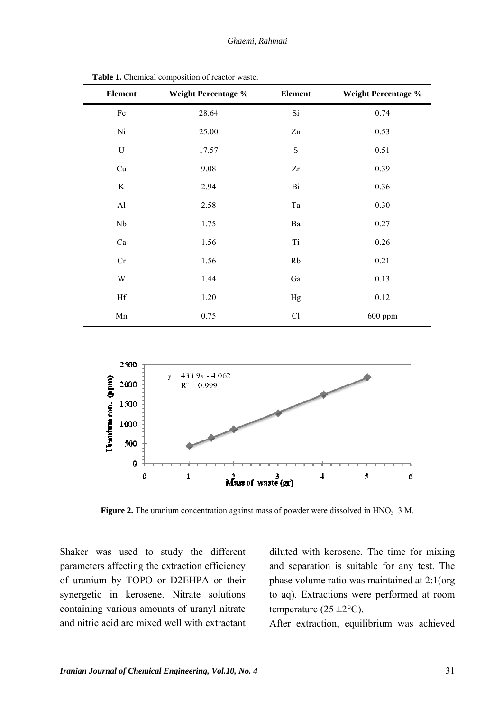| <b>Element</b> | <b>Weight Percentage %</b> | <b>Element</b> | <b>Weight Percentage %</b> |
|----------------|----------------------------|----------------|----------------------------|
| Fe             | 28.64                      | Si             | 0.74                       |
| Ni             | 25.00                      | Zn             | 0.53                       |
| U              | 17.57                      | S              | 0.51                       |
| Cu             | 9.08                       | Zr             | 0.39                       |
| K              | 2.94                       | Bi             | 0.36                       |
| AI             | 2.58                       | Ta             | 0.30                       |
| Nb             | 1.75                       | Ba             | 0.27                       |
| Ca             | 1.56                       | Ti             | 0.26                       |
| Cr             | 1.56                       | Rb             | 0.21                       |
| W              | 1.44                       | Ga             | 0.13                       |
| Hf             | 1.20                       | Hg             | 0.12                       |
| Mn             | 0.75                       | Cl             | $600$ ppm                  |

**Table 1.** Chemical composition of reactor waste.



Figure 2. The uranium concentration against mass of powder were dissolved in HNO<sub>3</sub> 3 M.

Shaker was used to study the different parameters affecting the extraction efficiency of uranium by TOPO or D2EHPA or their synergetic in kerosene. Nitrate solutions containing various amounts of uranyl nitrate and nitric acid are mixed well with extractant

diluted with kerosene. The time for mixing and separation is suitable for any test. The phase volume ratio was maintained at 2:1(org to aq). Extractions were performed at room temperature  $(25 \pm 2^{\circ}C)$ .

After extraction, equilibrium was achieved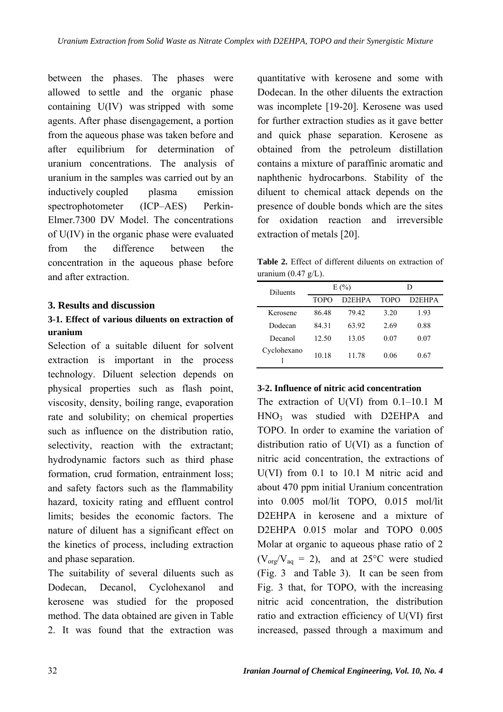between the phases. The phases were allowed to settle and the organic phase containing U(IV) was stripped with some agents. After phase disengagement, a portion from the aqueous phase was taken before and after equilibrium for determination of uranium concentrations. The analysis of uranium in the samples was carried out by an inductively coupled plasma emission spectrophotometer (ICP–AES) Perkin-Elmer.7300 DV Model. The concentrations of U(IV) in the organic phase were evaluated from the difference between the concentration in the aqueous phase before and after extraction.

# **3. Results and discussion**

# **3-1. Effect of various diluents on extraction of uranium**

Selection of a suitable diluent for solvent extraction is important in the process technology. Diluent selection depends on physical properties such as flash point, viscosity, density, boiling range, evaporation rate and solubility; on chemical properties such as influence on the distribution ratio, selectivity, reaction with the extractant; hydrodynamic factors such as third phase formation, crud formation, entrainment loss; and safety factors such as the flammability hazard, toxicity rating and effluent control limits; besides the economic factors. The nature of diluent has a significant effect on the kinetics of process, including extraction and phase separation.

The suitability of several diluents such as Dodecan, Decanol, Cyclohexanol and kerosene was studied for the proposed method. The data obtained are given in Table 2. It was found that the extraction was

quantitative with kerosene and some with Dodecan. In the other diluents the extraction was incomplete [19-20]. Kerosene was used for further extraction studies as it gave better and quick phase separation. Kerosene as obtained from the petroleum distillation contains a mixture of paraffinic aromatic and naphthenic hydrocarbons. Stability of the diluent to chemical attack depends on the presence of double bonds which are the sites for oxidation reaction and irreversible extraction of metals [20].

**Table 2.** Effect of different diluents on extraction of uranium  $(0.47 \text{ g/L})$ .

| <b>Diluents</b> |             | E(%)   | I)   |        |  |
|-----------------|-------------|--------|------|--------|--|
|                 | <b>TOPO</b> | D2EHPA | TOPO | D2EHPA |  |
| Kerosene        | 86 48       | 79.42  | 3.20 | 1.93   |  |
| Dodecan         | 84.31       | 63.92  | 2.69 | 0.88   |  |
| Decanol         | 12.50       | 13.05  | 0.07 | 0.07   |  |
| Cyclohexano     | 10.18       | 11.78  | 0.06 | 0.67   |  |

# **3-2. Influence of nitric acid concentration**

The extraction of U(VI) from 0.1–10.1 M HNO<sub>3</sub> was studied with D2EHPA and TOPO. In order to examine the variation of distribution ratio of U(VI) as a function of nitric acid concentration, the extractions of U(VI) from 0.1 to 10.1 M nitric acid and about 470 ppm initial Uranium concentration into 0.005 mol/lit TOPO, 0.015 mol/lit D2EHPA in kerosene and a mixture of D2EHPA 0.015 molar and TOPO 0.005 Molar at organic to aqueous phase ratio of 2  $(V_{\text{org}}/V_{\text{aq}} = 2)$ , and at 25°C were studied (Fig. 3 and Table 3). It can be seen from Fig. 3 that, for TOPO, with the increasing nitric acid concentration, the distribution ratio and extraction efficiency of U(VI) first increased, passed through a maximum and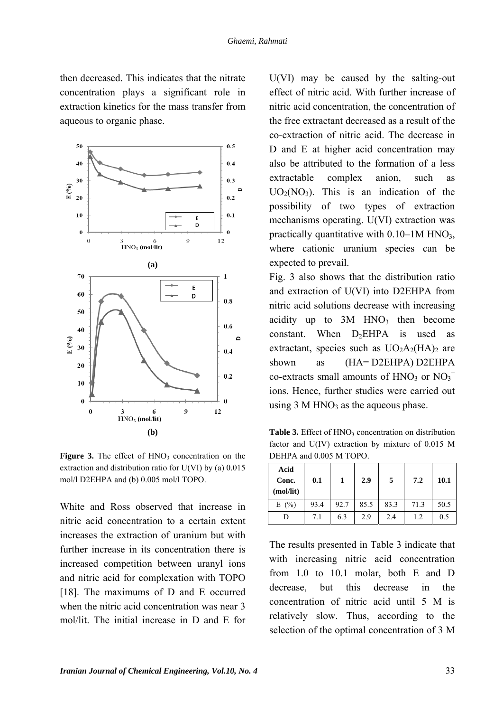then decreased. This indicates that the nitrate concentration plays a significant role in extraction kinetics for the mass transfer from aqueous to organic phase.



**Figure 3.** The effect of  $HNO<sub>3</sub>$  concentration on the extraction and distribution ratio for U(VI) by (a) 0.015 mol/l D2EHPA and (b) 0.005 mol/l TOPO.

White and Ross observed that increase in nitric acid concentration to a certain extent increases the extraction of uranium but with further increase in its concentration there is increased competition between uranyl ions and nitric acid for complexation with TOPO [18]. The maximums of D and E occurred when the nitric acid concentration was near 3 mol/lit. The initial increase in D and E for

U(VI) may be caused by the salting-out effect of nitric acid. With further increase of nitric acid concentration, the concentration of the free extractant decreased as a result of the co-extraction of nitric acid. The decrease in D and E at higher acid concentration may also be attributed to the formation of a less extractable complex anion, such as  $UO<sub>2</sub>(NO<sub>3</sub>)$ . This is an indication of the possibility of two types of extraction mechanisms operating. U(VI) extraction was practically quantitative with  $0.10-1M$  HNO<sub>3</sub>, where cationic uranium species can be expected to prevail.

Fig. 3 also shows that the distribution ratio and extraction of U(VI) into D2EHPA from nitric acid solutions decrease with increasing acidity up to  $3M$  HNO<sub>3</sub> then become constant. When  $D<sub>2</sub>EHPA$  is used as extractant, species such as  $UO<sub>2</sub>A<sub>2</sub>(HA)<sub>2</sub>$  are shown as  $(HA= D2EHPA) D2EHPA$  $\cos$ -extracts small amounts of HNO<sub>3</sub> or NO<sub>3</sub><sup>-</sup> ions. Hence, further studies were carried out using  $3 M HNO<sub>3</sub>$  as the aqueous phase.

**Table 3.** Effect of HNO<sub>3</sub> concentration on distribution factor and U(IV) extraction by mixture of 0.015 M DEHPA and 0.005 M TOPO.

| Acid<br>Conc.<br>(mol/lit) | 0.1  | 1    | 2.9  | 5    | 7.2  | 10.1 |
|----------------------------|------|------|------|------|------|------|
| E(%)                       | 93.4 | 92.7 | 85.5 | 83.3 | 71.3 | 50.5 |
|                            | 7.1  | 6.3  | 2.9  | 2.4  | 1.2  | 0.5  |

The results presented in Table 3 indicate that with increasing nitric acid concentration from 1.0 to 10.1 molar, both E and D decrease, but this decrease in the concentration of nitric acid until 5 M is relatively slow. Thus, according to the selection of the optimal concentration of 3 M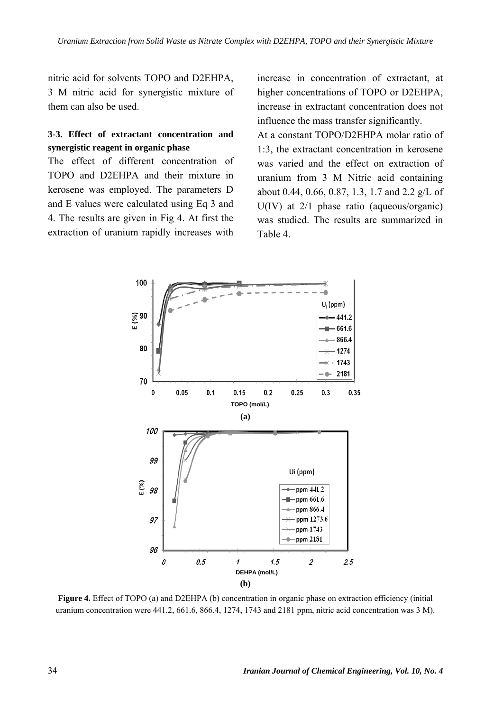nitric acid for solvents TOPO and D2EHPA, 3 M nitric acid for synergistic mixture of them can also be used.

# **3-3. Effect of extractant concentration and synergistic reagent in organic phase**

The effect of different concentration of TOPO and D2EHPA and their mixture in kerosene was employed. The parameters D and E values were calculated using Eq 3 and 4. The results are given in Fig 4. At first the extraction of uranium rapidly increases with

increase in concentration of extractant, at higher concentrations of TOPO or D2EHPA, increase in extractant concentration does not influence the mass transfer significantly.

At a constant TOPO/D2EHPA molar ratio of 1:3, the extractant concentration in kerosene was varied and the effect on extraction of uranium from 3 M Nitric acid containing about 0.44, 0.66, 0.87, 1.3, 1.7 and 2.2 g/L of U(IV) at 2/1 phase ratio (aqueous/organic) was studied. The results are summarized in Table 4.



**Figure 4.** Effect of TOPO (a) and D2EHPA (b) concentration in organic phase on extraction efficiency (initial uranium concentration were 441.2, 661.6, 866.4, 1274, 1743 and 2181 ppm, nitric acid concentration was 3 M).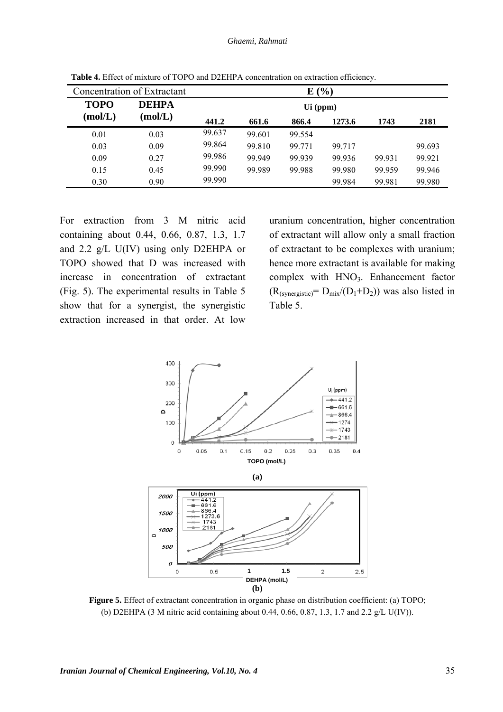#### *Ghaemi, Rahmati*

|             | Concentration of Extractant |          |        | E(%)   |        |        |        |
|-------------|-----------------------------|----------|--------|--------|--------|--------|--------|
| <b>TOPO</b> | <b>DEHPA</b>                | Ui (ppm) |        |        |        |        |        |
| (mod/L)     | (mol/L)                     | 441.2    | 661.6  | 866.4  | 1273.6 | 1743   | 2181   |
| 0.01        | 0.03                        | 99.637   | 99.601 | 99.554 |        |        |        |
| 0.03        | 0.09                        | 99.864   | 99.810 | 99.771 | 99.717 |        | 99.693 |
| 0.09        | 0.27                        | 99.986   | 99.949 | 99.939 | 99.936 | 99.931 | 99.921 |
| 0.15        | 0.45                        | 99.990   | 99.989 | 99.988 | 99.980 | 99.959 | 99.946 |
| 0.30        | 0.90                        | 99.990   |        |        | 99.984 | 99.981 | 99.980 |

**Table 4.** Effect of mixture of TOPO and D2EHPA concentration on extraction efficiency.

For extraction from 3 M nitric acid containing about 0.44, 0.66, 0.87, 1.3, 1.7 and 2.2 g/L U(IV) using only D2EHPA or TOPO showed that D was increased with increase in concentration of extractant (Fig. 5). The experimental results in Table 5 show that for a synergist, the synergistic extraction increased in that order. At low

uranium concentration, higher concentration of extractant will allow only a small fraction of extractant to be complexes with uranium; hence more extractant is available for making complex with  $HNO<sub>3</sub>$ . Enhancement factor  $(R<sub>(synergic</sub>) = D<sub>mix</sub>/(D<sub>1</sub>+D<sub>2</sub>)$  was also listed in Table 5.



Figure 5. Effect of extractant concentration in organic phase on distribution coefficient: (a) TOPO; (b) D2EHPA (3 M nitric acid containing about 0.44, 0.66, 0.87, 1.3, 1.7 and 2.2 g/L U(IV)).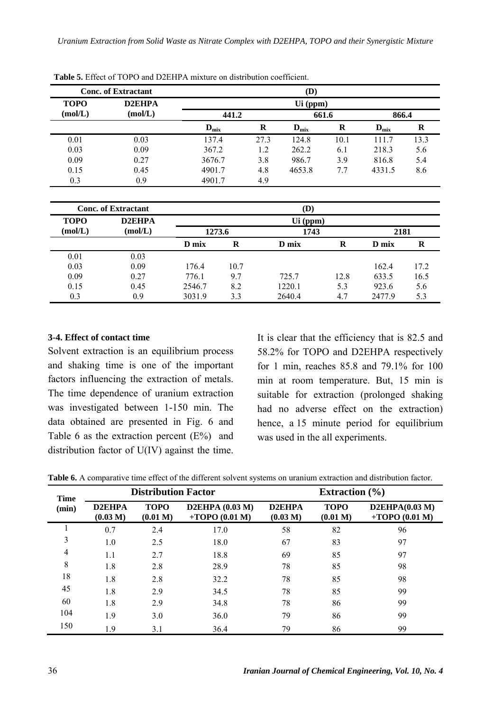|             | <b>Conc. of Extractant</b> |                |      | (D)                       |      |                           |      |
|-------------|----------------------------|----------------|------|---------------------------|------|---------------------------|------|
| <b>TOPO</b> | D2EHPA                     |                |      | Ui (ppm)                  |      |                           |      |
| (mol/L)     | (mol/L)                    | 441.2<br>661.6 |      |                           |      | 866.4                     |      |
|             |                            | $D_{mix}$      | R    | $\mathbf{D}_{\text{mix}}$ | R    | $\mathbf{D}_{\text{mix}}$ | R    |
| 0.01        | 0.03                       | 137.4          | 27.3 | 124.8                     | 10.1 | 111.7                     | 13.3 |
| 0.03        | 0.09                       | 367.2          | 1.2  | 262.2                     | 6.1  | 218.3                     | 5.6  |
| 0.09        | 0.27                       | 3676.7         | 3.8  | 986.7                     | 3.9  | 816.8                     | 5.4  |
| 0.15        | 0.45                       | 4901.7         | 4.8  | 4653.8                    | 7.7  | 4331.5                    | 8.6  |
| 0.3         | 0.9                        | 4901.7         | 4.9  |                           |      |                           |      |

**Table 5.** Effect of TOPO and D2EHPA mixture on distribution coefficient.

|             | <b>Conc. of Extractant</b> | (D)                    |      |        |      |         |      |  |
|-------------|----------------------------|------------------------|------|--------|------|---------|------|--|
| <b>TOPO</b> | D2EHPA                     | Ui (ppm)               |      |        |      |         |      |  |
| (mol/L)     | (mol/L)                    | 1273.6<br>1743<br>2181 |      |        |      |         |      |  |
|             |                            | $D mix$                | R    | D mix  | R    | $D mix$ | R    |  |
| 0.01        | 0.03                       |                        |      |        |      |         |      |  |
| 0.03        | 0.09                       | 176.4                  | 10.7 |        |      | 162.4   | 17.2 |  |
| 0.09        | 0.27                       | 776.1                  | 9.7  | 725.7  | 12.8 | 633.5   | 16.5 |  |
| 0.15        | 0.45                       | 2546.7                 | 8.2  | 1220.1 | 5.3  | 923.6   | 5.6  |  |
| 0.3         | 0.9                        | 3031.9                 | 3.3  | 2640.4 | 4.7  | 2477.9  | 5.3  |  |

#### **3-4. Effect of contact time**

Solvent extraction is an equilibrium process and shaking time is one of the important factors influencing the extraction of metals. The time dependence of uranium extraction was investigated between 1-150 min. The data obtained are presented in Fig. 6 and Table 6 as the extraction percent  $(E%)$  and distribution factor of U(IV) against the time. It is clear that the efficiency that is 82.5 and 58.2% for TOPO and D2EHPA respectively for 1 min, reaches 85.8 and 79.1% for 100 min at room temperature. But, 15 min is suitable for extraction (prolonged shaking had no adverse effect on the extraction) hence, a 15 minute period for equilibrium was used in the all experiments.

| Table 6. A comparative time effect of the different solvent systems on uranium extraction and distribution factor. |  |  |
|--------------------------------------------------------------------------------------------------------------------|--|--|
|--------------------------------------------------------------------------------------------------------------------|--|--|

| <b>Time</b> | <b>Distribution Factor</b> |                         |                                      | Extraction $(\% )$              |                         |                                   |  |
|-------------|----------------------------|-------------------------|--------------------------------------|---------------------------------|-------------------------|-----------------------------------|--|
| (min)       | D2EHPA<br>(0.03 M)         | <b>TOPO</b><br>(0.01 M) | D2EHPA $(0.03 M)$<br>$+TOPO(0.01 M)$ | D <sub>2</sub> EHPA<br>(0.03 M) | <b>TOPO</b><br>(0.01 M) | D2EHPA(0.03 M)<br>$+TOPO(0.01 M)$ |  |
|             | 0.7                        | 2.4                     | 17.0                                 | 58                              | 82                      | 96                                |  |
| 3           | 1.0                        | 2.5                     | 18.0                                 | 67                              | 83                      | 97                                |  |
| 4           | 1.1                        | 2.7                     | 18.8                                 | 69                              | 85                      | 97                                |  |
| 8           | 1.8                        | 2.8                     | 28.9                                 | 78                              | 85                      | 98                                |  |
| 18          | 1.8                        | 2.8                     | 32.2                                 | 78                              | 85                      | 98                                |  |
| 45          | 1.8                        | 2.9                     | 34.5                                 | 78                              | 85                      | 99                                |  |
| 60          | 1.8                        | 2.9                     | 34.8                                 | 78                              | 86                      | 99                                |  |
| 104         | 1.9                        | 3.0                     | 36.0                                 | 79                              | 86                      | 99                                |  |
| 150         | 1.9                        | 3.1                     | 36.4                                 | 79                              | 86                      | 99                                |  |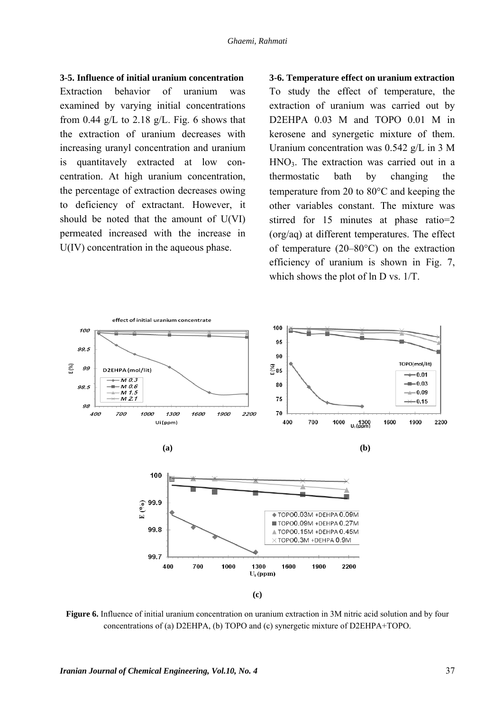# **3-5. Influence of initial uranium concentration**

Extraction behavior of uranium was examined by varying initial concentrations from 0.44 g/L to 2.18 g/L. Fig. 6 shows that the extraction of uranium decreases with increasing uranyl concentration and uranium is quantitavely extracted at low concentration. At high uranium concentration, the percentage of extraction decreases owing to deficiency of extractant. However, it should be noted that the amount of U(VI) permeated increased with the increase in U(IV) concentration in the aqueous phase.

**3-6. Temperature effect on uranium extraction**  To study the effect of temperature, the extraction of uranium was carried out by D2EHPA 0.03 M and TOPO 0.01 M in kerosene and synergetic mixture of them. Uranium concentration was 0.542 g/L in 3 M HNO3. The extraction was carried out in a thermostatic bath by changing the temperature from 20 to 80°C and keeping the other variables constant. The mixture was stirred for 15 minutes at phase ratio=2 (org/aq) at different temperatures. The effect of temperature (20–80°C) on the extraction efficiency of uranium is shown in Fig. 7, which shows the plot of ln D vs. 1/T.



**Figure 6.** Influence of initial uranium concentration on uranium extraction in 3M nitric acid solution and by four concentrations of (a) D2EHPA, (b) TOPO and (c) synergetic mixture of D2EHPA+TOPO.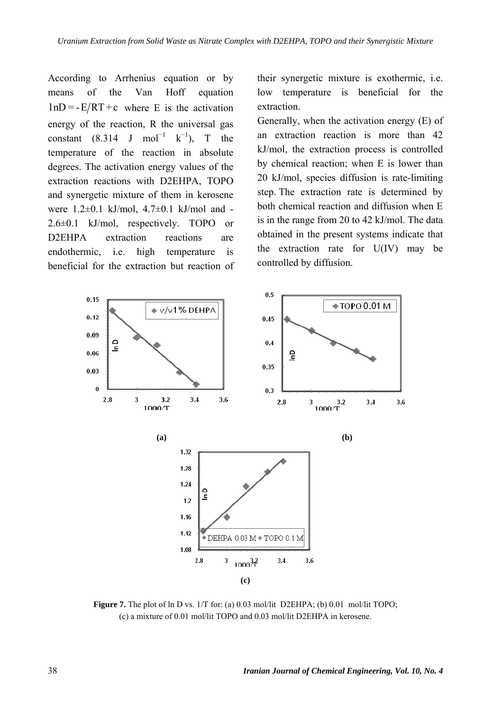According to Arrhenius equation or by means of the Van Hoff equation  $lnD = -E/RT + c$  where E is the activation energy of the reaction, R the universal gas constant  $(8.314 \text{ J} \text{ mol}^{-1} \text{ k}^{-1})$ , T the temperature of the reaction in absolute degrees. The activation energy values of the extraction reactions with D2EHPA, TOPO and synergetic mixture of them in kerosene were  $1.2\pm0.1$  kJ/mol,  $4.7\pm0.1$  kJ/mol and -2.6±0.1 kJ/mol, respectively. TOPO or D<sub>2</sub>EHPA extraction reactions are endothermic, i.e. high temperature is beneficial for the extraction but reaction of

their synergetic mixture is exothermic, i.e. low temperature is beneficial for the extraction.

Generally, when the activation energy (E) of an extraction reaction is more than 42 kJ/mol, the extraction process is controlled by chemical reaction; when E is lower than 20 kJ/mol, species diffusion is rate-limiting step. The extraction rate is determined by both chemical reaction and diffusion when E is in the range from 20 to 42 kJ/mol. The data obtained in the present systems indicate that the extraction rate for U(IV) may be controlled by diffusion.



**Figure 7.** The plot of ln D vs. 1/T for: (a) 0.03 mol/lit D2EHPA; (b) 0.01 mol/lit TOPO; (c) a mixture of 0.01 mol/lit TOPO and 0.03 mol/lit D2EHPA in kerosene.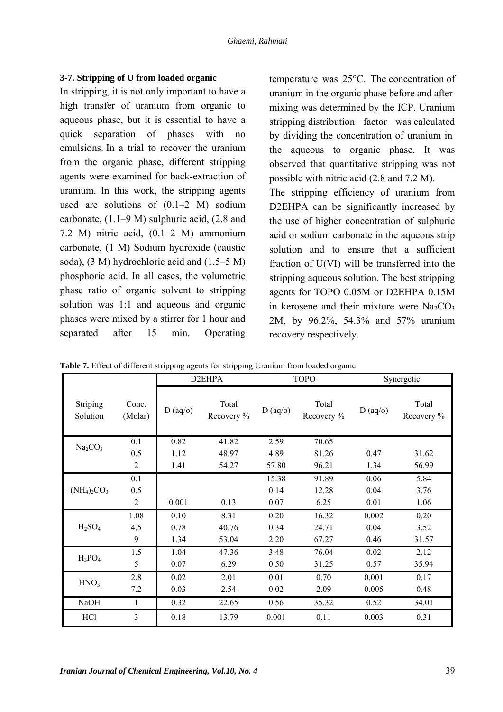#### **3-7. Stripping of U from loaded organic**

In stripping, it is not only important to have a high transfer of uranium from organic to aqueous phase, but it is essential to have a quick separation of phases with no emulsions. In a trial to recover the uranium from the organic phase, different stripping agents were examined for back-extraction of uranium. In this work, the stripping agents used are solutions of (0.1–2 M) sodium carbonate, (1.1–9 M) sulphuric acid, (2.8 and 7.2 M) nitric acid, (0.1–2 M) ammonium carbonate, (1 M) Sodium hydroxide (caustic soda), (3 M) hydrochloric acid and (1.5–5 M) phosphoric acid. In all cases, the volumetric phase ratio of organic solvent to stripping solution was 1:1 and aqueous and organic phases were mixed by a stirrer for 1 hour and separated after 15 min. Operating

temperature was 25°C. The concentration of uranium in the organic phase before and after mixing was determined by the ICP. Uranium stripping distribution factor was calculated by dividing the concentration of uranium in the aqueous to organic phase. It was observed that quantitative stripping was not possible with nitric acid (2.8 and 7.2 M).

The stripping efficiency of uranium from D2EHPA can be significantly increased by the use of higher concentration of sulphuric acid or sodium carbonate in the aqueous strip solution and to ensure that a sufficient fraction of U(VI) will be transferred into the stripping aqueous solution. The best stripping agents for TOPO 0.05M or D2EHPA 0.15M in kerosene and their mixture were  $Na<sub>2</sub>CO<sub>3</sub>$ 2M, by 96.2%, 54.3% and 57% uranium recovery respectively.

**Table 7.** Effect of different stripping agents for stripping Uranium from loaded organic

|                                 |                  |          | D2EHPA              | <b>TOPO</b> |                     |          | Synergetic          |
|---------------------------------|------------------|----------|---------------------|-------------|---------------------|----------|---------------------|
| Striping<br>Solution            | Conc.<br>(Molar) | D (aq/o) | Total<br>Recovery % | D (aq/o)    | Total<br>Recovery % | D (aq/o) | Total<br>Recovery % |
| Na <sub>2</sub> CO <sub>3</sub> | 0.1              | 0.82     | 41.82               | 2.59        | 70.65               |          |                     |
|                                 | 0.5              | 1.12     | 48.97               | 4.89        | 81.26               | 0.47     | 31.62               |
|                                 | $\overline{2}$   | 1.41     | 54.27               | 57.80       | 96.21               | 1.34     | 56.99               |
|                                 | 0.1              |          |                     | 15.38       | 91.89               | 0.06     | 5.84                |
| $(NH_4)_2CO_3$                  | 0.5              |          |                     | 0.14        | 12.28               | 0.04     | 3.76                |
|                                 | $\overline{2}$   | 0.001    | 0.13                | 0.07        | 6.25                | 0.01     | 1.06                |
|                                 | 1.08             | 0.10     | 8.31                | 0.20        | 16.32               | 0.002    | 0.20                |
| H <sub>2</sub> SO <sub>4</sub>  | 4.5              | 0.78     | 40.76               | 0.34        | 24.71               | 0.04     | 3.52                |
|                                 | 9                | 1.34     | 53.04               | 2.20        | 67.27               | 0.46     | 31.57               |
| $H_3PO_4$                       | 1.5              | 1.04     | 47.36               | 3.48        | 76.04               | 0.02     | 2.12                |
|                                 | 5                | 0.07     | 6.29                | 0.50        | 31.25               | 0.57     | 35.94               |
| HNO <sub>3</sub>                | 2.8              | 0.02     | 2.01                | 0.01        | 0.70                | 0.001    | 0.17                |
|                                 | 7.2              | 0.03     | 2.54                | 0.02        | 2.09                | 0.005    | 0.48                |
| <b>NaOH</b>                     | $\mathbf{1}$     | 0.32     | 22.65               | 0.56        | 35.32               | 0.52     | 34.01               |
| HCl                             | 3                | 0.18     | 13.79               | 0.001       | 0.11                | 0.003    | 0.31                |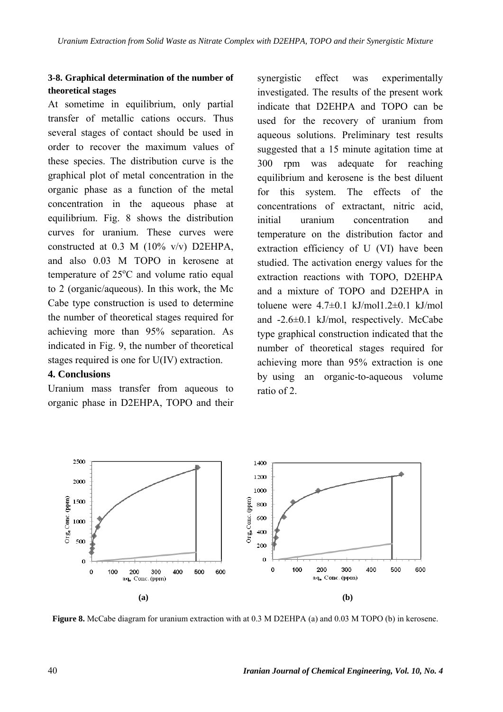# **3-8. Graphical determination of the number of theoretical stages**

At sometime in equilibrium, only partial transfer of metallic cations occurs. Thus several stages of contact should be used in order to recover the maximum values of these species. The distribution curve is the graphical plot of metal concentration in the organic phase as a function of the metal concentration in the aqueous phase at equilibrium. Fig. 8 shows the distribution curves for uranium. These curves were constructed at  $0.3$  M ( $10\%$  v/v) D2EHPA, and also 0.03 M TOPO in kerosene at temperature of  $25^{\circ}$ C and volume ratio equal to 2 (organic/aqueous). In this work, the Mc Cabe type construction is used to determine the number of theoretical stages required for achieving more than 95% separation. As indicated in Fig. 9, the number of theoretical stages required is one for U(IV) extraction.

#### **4. Conclusions**

Uranium mass transfer from aqueous to organic phase in D2EHPA, TOPO and their synergistic effect was experimentally investigated. The results of the present work indicate that D2EHPA and TOPO can be used for the recovery of uranium from aqueous solutions. Preliminary test results suggested that a 15 minute agitation time at 300 rpm was adequate for reaching equilibrium and kerosene is the best diluent for this system. The effects of the concentrations of extractant, nitric acid, initial uranium concentration and temperature on the distribution factor and extraction efficiency of U (VI) have been studied. The activation energy values for the extraction reactions with TOPO, D2EHPA and a mixture of TOPO and D2EHPA in toluene were  $4.7\pm0.1$  kJ/mol $1.2\pm0.1$  kJ/mol and -2.6±0.1 kJ/mol, respectively. McCabe type graphical construction indicated that the number of theoretical stages required for achieving more than 95% extraction is one by using an organic-to-aqueous volume ratio of 2.



**Figure 8.** McCabe diagram for uranium extraction with at 0.3 M D2EHPA (a) and 0.03 M TOPO (b) in kerosene.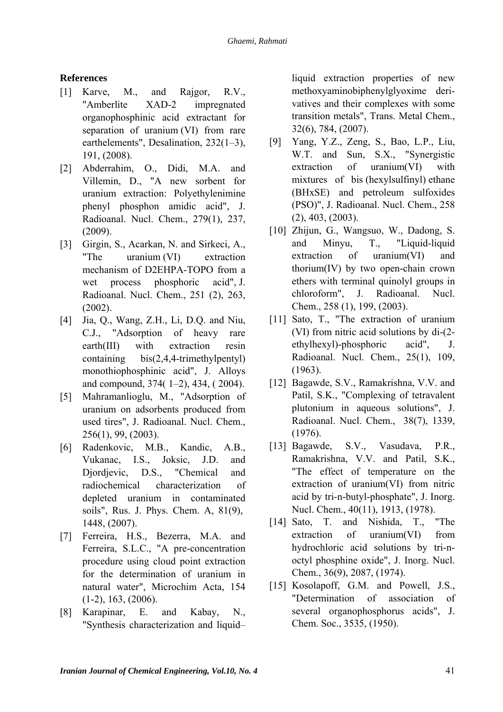# **References**

- [1] Karve, M., and Rajgor, R.V., "Amberlite XAD-2 impregnated organophosphinic acid extractant for separation of uranium (VI) from rare earthelements", Desalination, 232(1–3), 191, (2008).
- [2] Abderrahim, O., Didi, M.A. and Villemin, D., "A new sorbent for uranium extraction: Polyethylenimine phenyl phosphon amidic acid", J. Radioanal. Nucl. Chem., 279(1), 237, (2009).
- [3] Girgin, S., Acarkan, N. and Sirkeci, A., "The uranium (VI) extraction mechanism of D2EHPA-TOPO from a wet process phosphoric acid", J. Radioanal. Nucl. Chem., 251 (2), 263, (2002).
- [4] Jia, Q., Wang, Z.H., Li, D.Q. and Niu, C.J., "Adsorption of heavy rare earth(III) with extraction resin containing bis(2,4,4-trimethylpentyl) monothiophosphinic acid", J. Alloys and compound, 374( 1–2), 434, ( 2004).
- [5] Mahramanlioglu, M., "Adsorption of uranium on adsorbents produced from used tires", J. Radioanal. Nucl. Chem., 256(1), 99, (2003).
- [6] Radenkovic, M.B., Kandic, A.B., Vukanac, I.S., Joksic, J.D. and Djordjevic, D.S., "Chemical and radiochemical characterization of depleted uranium in contaminated soils", Rus. J. Phys. Chem. A, 81(9), 1448, (2007).
- [7] Ferreira, H.S., Bezerra, M.A. and Ferreira, S.L.C., "A pre-concentration procedure using cloud point extraction for the determination of uranium in natural water", Microchim Acta, 154 (1-2), 163, (2006).
- [8] Karapinar, E. and Kabay, N., "Synthesis characterization and liquid–

liquid extraction properties of new methoxyaminobiphenylglyoxime derivatives and their complexes with some transition metals", Trans. Metal Chem., 32(6), 784, (2007).

- [9] Yang, Y.Z., Zeng, S., Bao, L.P., Liu, W.T. and Sun, S.X., "Synergistic extraction of uranium(VI) with mixtures of bis (hexylsulfinyl) ethane (BHxSE) and petroleum sulfoxides (PSO)", J. Radioanal. Nucl. Chem., 258 (2), 403, (2003).
- [10] Zhijun, G., Wangsuo, W., Dadong, S. and Minyu, T., "Liquid-liquid extraction of uranium(VI) and thorium(IV) by two open-chain crown ethers with terminal quinolyl groups in chloroform", J. Radioanal. Nucl. Chem., 258 (1), 199, (2003).
- [11] Sato, T., "The extraction of uranium (VI) from nitric acid solutions by di-(2 ethylhexyl)-phosphoric acid", J. Radioanal. Nucl. Chem., 25(1), 109, (1963).
- [12] Bagawde, S.V., Ramakrishna, V.V. and Patil, S.K., "Complexing of tetravalent plutonium in aqueous solutions", J. Radioanal. Nucl. Chem., 38(7), 1339, (1976).
- [13] Bagawde, S.V., Vasudava, P.R., Ramakrishna, V.V. and Patil, S.K., "The effect of temperature on the extraction of uranium(VI) from nitric acid by tri-n-butyl-phosphate", J. Inorg. Nucl. Chem., 40(11), 1913, (1978).
- [14] Sato, T. and Nishida, T., "The extraction of uranium(VI) from hydrochloric acid solutions by tri-noctyl phosphine oxide", J. Inorg. Nucl. Chem., 36(9), 2087, (1974).
- [15] Kosolapoff, G.M. and Powell, J.S., "Determination of association of several organophosphorus acids", J. Chem. Soc., 3535, (1950).